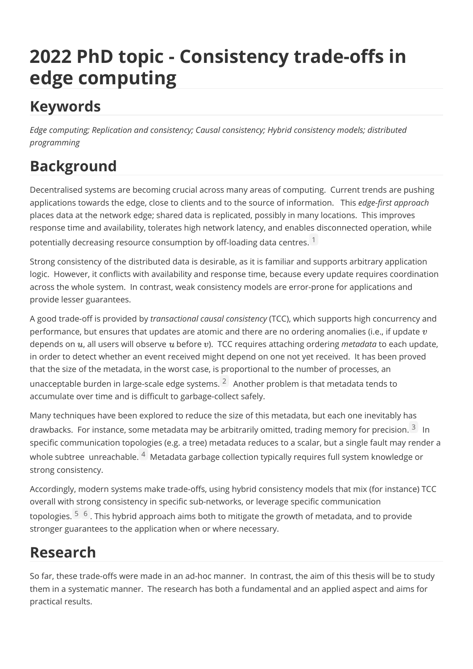# **2022 PhD topic - Consistency trade-offs in edge computing**

## **Keywords**

*Edge computing; Replication and consistency; Causal consistency; Hybrid consistency models; distributed programming*

## **Background**

Decentralised systems are becoming crucial across many areas of computing. Current trends are pushing applications towards the edge, close to clients and to the source of information. This *edge-first approach* places data at the network edge; shared data is replicated, possibly in many locations. This improves response time and availability, tolerates high network latency, and enables disconnected operation, while potentially decreasing resource consumption by off-loading data centres.  $1$ 

Strong consistency of the distributed data is desirable, as it is familiar and supports arbitrary application logic. However, it conflicts with availability and response time, because every update requires coordination across the whole system. In contrast, weak consistency models are error-prone for applications and provide lesser guarantees.

A good trade-off is provided by *transactional causal consistency* (TCC), which supports high concurrency and performance, but ensures that updates are atomic and there are no ordering anomalies (i.e., if update  $v$ depends on  $u$ , all users will observe  $u$  before  $v$ ). TCC requires attaching ordering *metadata* to each update, in order to detect whether an event received might depend on one not yet received. It has been proved that the size of the metadata, in the worst case, is proportional to the number of processes, an unacceptable burden in large-scale edge systems.  $2\overline{ }$  $2\overline{ }$  Another problem is that metadata tends to accumulate over time and is difficult to garbage-collect safely.

Many techniques have been explored to reduce the size of this metadata, but each one inevitably has drawbacks. For instance, some metadata may be arbitrarily omitted, trading memory for precision. <sup>[3](uat://dfref-footnote-3)</sup> In specific communication topologies (e.g. a tree) metadata reduces to a scalar, but a single fault may render a whole subtree unreachable. <sup>[4](uat://dfref-footnote-4)</sup> Metadata garbage collection typically requires full system knowledge or strong consistency.

Accordingly, modern systems make trade-offs, using hybrid consistency models that mix (for instance) TCC overall with strong consistency in specific sub-networks, or leverage specific communication topologies. <sup>[5](uat://dfref-footnote-5)</sup> <sup>[6](uat://dfref-footnote-6)</sup>. This hybrid approach aims both to mitigate the growth of metadata, and to provide stronger guarantees to the application when or where necessary.

### **Research**

So far, these trade-offs were made in an ad-hoc manner. In contrast, the aim of this thesis will be to study them in a systematic manner. The research has both a fundamental and an applied aspect and aims for practical results.